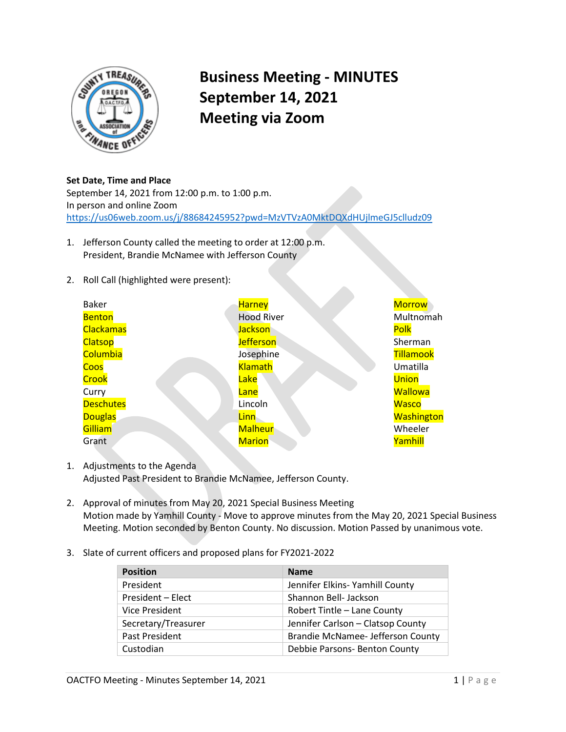

## **Business Meeting - MINUTES September 14, 2021 Meeting via Zoom**

**Set Date, Time and Place**  September 14, 2021 from 12:00 p.m. to 1:00 p.m. In person and online Zoom <https://us06web.zoom.us/j/88684245952?pwd=MzVTVzA0MktDQXdHUjlmeGJ5clludz09>

- 1. Jefferson County called the meeting to order at 12:00 p.m. President, Brandie McNamee with Jefferson County
- 2. Roll Call (highlighted were present):

| <b>Baker</b>     | <b>Harney</b>     | <b>Morrow</b>     |
|------------------|-------------------|-------------------|
| <b>Benton</b>    | <b>Hood River</b> | Multnomah         |
| <b>Clackamas</b> | <b>Jackson</b>    | Polk              |
| <b>Clatsop</b>   | <b>Jefferson</b>  | Sherman           |
| Columbia         | Josephine         | <b>Tillamook</b>  |
| Coos             | <b>Klamath</b>    | Umatilla          |
| Crook            | Lake              | <b>Union</b>      |
| Curry            | Lane              | <b>Wallowa</b>    |
| <b>Deschutes</b> | Lincoln           | <b>Wasco</b>      |
| <b>Douglas</b>   | Linn              | <b>Washington</b> |
| Gilliam          | <b>Malheur</b>    | Wheeler           |
| Grant            | <b>Marion</b>     | Yamhill           |

- 1. Adjustments to the Agenda Adjusted Past President to Brandie McNamee, Jefferson County.
- 2. Approval of minutes from May 20, 2021 Special Business Meeting Motion made by Yamhill County - Move to approve minutes from the May 20, 2021 Special Business Meeting. Motion seconded by Benton County. No discussion. Motion Passed by unanimous vote.
- 3. Slate of current officers and proposed plans for FY2021-2022

| <b>Position</b>     | <b>Name</b>                       |  |
|---------------------|-----------------------------------|--|
| President           | Jennifer Elkins- Yamhill County   |  |
| President - Elect   | Shannon Bell- Jackson             |  |
| Vice President      | Robert Tintle - Lane County       |  |
| Secretary/Treasurer | Jennifer Carlson - Clatsop County |  |
| Past President      | Brandie McNamee- Jefferson County |  |
| Custodian           | Debbie Parsons- Benton County     |  |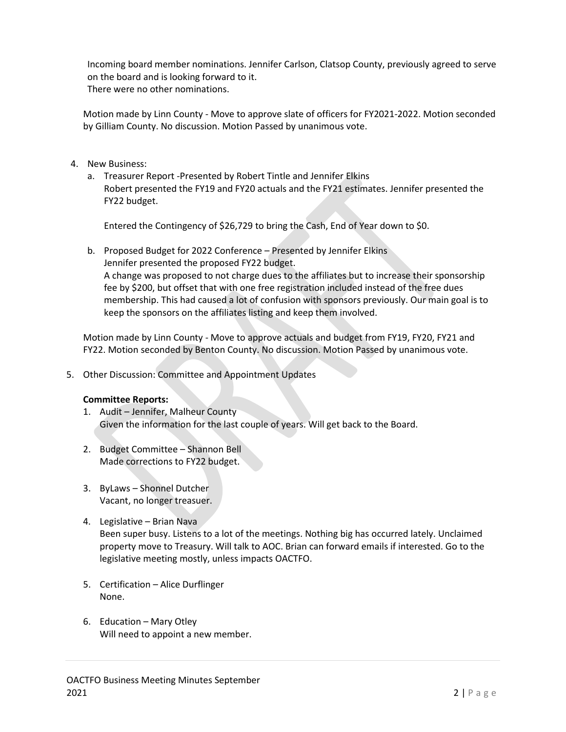Incoming board member nominations. Jennifer Carlson, Clatsop County, previously agreed to serve on the board and is looking forward to it. There were no other nominations.

Motion made by Linn County - Move to approve slate of officers for FY2021-2022. Motion seconded by Gilliam County. No discussion. Motion Passed by unanimous vote.

- 4. New Business:
	- a. Treasurer Report -Presented by Robert Tintle and Jennifer Elkins Robert presented the FY19 and FY20 actuals and the FY21 estimates. Jennifer presented the FY22 budget.

Entered the Contingency of \$26,729 to bring the Cash, End of Year down to \$0.

b. Proposed Budget for 2022 Conference – Presented by Jennifer Elkins Jennifer presented the proposed FY22 budget. A change was proposed to not charge dues to the affiliates but to increase their sponsorship fee by \$200, but offset that with one free registration included instead of the free dues membership. This had caused a lot of confusion with sponsors previously. Our main goal is to keep the sponsors on the affiliates listing and keep them involved.

Motion made by Linn County - Move to approve actuals and budget from FY19, FY20, FY21 and FY22. Motion seconded by Benton County. No discussion. Motion Passed by unanimous vote.

5. Other Discussion: Committee and Appointment Updates

## **Committee Reports:**

- 1. Audit Jennifer, Malheur County Given the information for the last couple of years. Will get back to the Board.
- 2. Budget Committee Shannon Bell Made corrections to FY22 budget.
- 3. ByLaws Shonnel Dutcher Vacant, no longer treasuer.
- 4. Legislative Brian Nava Been super busy. Listens to a lot of the meetings. Nothing big has occurred lately. Unclaimed property move to Treasury. Will talk to AOC. Brian can forward emails if interested. Go to the legislative meeting mostly, unless impacts OACTFO.
- 5. Certification Alice Durflinger None.
- 6. Education Mary Otley Will need to appoint a new member.